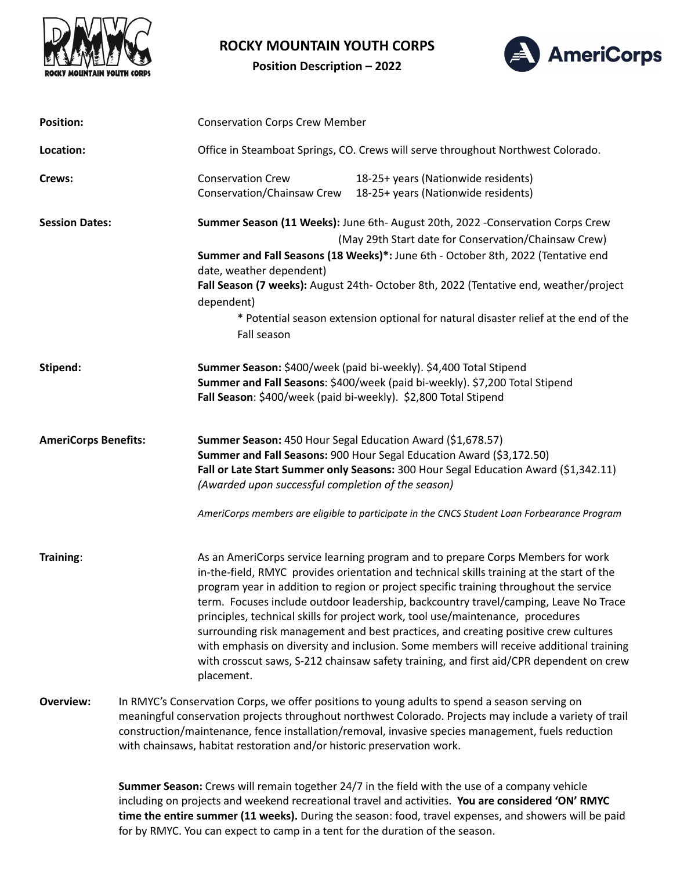

## **ROCKY MOUNTAIN YOUTH CORPS**

**Position Description – 2022**



| <b>Position:</b>            |                                                                                                                                                                                                                                                                                                                                                                                          | <b>Conservation Corps Crew Member</b>                                                                                                                                                                                                                                                                                                                                                                                                                               |                                                                                                                                                                                                                                                                                                                                                                                                                                                                                                                                                                                                                                                                                                                                |  |
|-----------------------------|------------------------------------------------------------------------------------------------------------------------------------------------------------------------------------------------------------------------------------------------------------------------------------------------------------------------------------------------------------------------------------------|---------------------------------------------------------------------------------------------------------------------------------------------------------------------------------------------------------------------------------------------------------------------------------------------------------------------------------------------------------------------------------------------------------------------------------------------------------------------|--------------------------------------------------------------------------------------------------------------------------------------------------------------------------------------------------------------------------------------------------------------------------------------------------------------------------------------------------------------------------------------------------------------------------------------------------------------------------------------------------------------------------------------------------------------------------------------------------------------------------------------------------------------------------------------------------------------------------------|--|
| Location:                   |                                                                                                                                                                                                                                                                                                                                                                                          | Office in Steamboat Springs, CO. Crews will serve throughout Northwest Colorado.                                                                                                                                                                                                                                                                                                                                                                                    |                                                                                                                                                                                                                                                                                                                                                                                                                                                                                                                                                                                                                                                                                                                                |  |
| Crews:                      |                                                                                                                                                                                                                                                                                                                                                                                          | <b>Conservation Crew</b><br>Conservation/Chainsaw Crew                                                                                                                                                                                                                                                                                                                                                                                                              | 18-25+ years (Nationwide residents)<br>18-25+ years (Nationwide residents)                                                                                                                                                                                                                                                                                                                                                                                                                                                                                                                                                                                                                                                     |  |
| <b>Session Dates:</b>       |                                                                                                                                                                                                                                                                                                                                                                                          | Summer Season (11 Weeks): June 6th- August 20th, 2022 -Conservation Corps Crew<br>(May 29th Start date for Conservation/Chainsaw Crew)<br>Summer and Fall Seasons (18 Weeks)*: June 6th - October 8th, 2022 (Tentative end<br>date, weather dependent)<br>Fall Season (7 weeks): August 24th- October 8th, 2022 (Tentative end, weather/project<br>dependent)<br>* Potential season extension optional for natural disaster relief at the end of the<br>Fall season |                                                                                                                                                                                                                                                                                                                                                                                                                                                                                                                                                                                                                                                                                                                                |  |
| Stipend:                    |                                                                                                                                                                                                                                                                                                                                                                                          | Summer Season: \$400/week (paid bi-weekly). \$4,400 Total Stipend<br>Summer and Fall Seasons: \$400/week (paid bi-weekly). \$7,200 Total Stipend<br>Fall Season: \$400/week (paid bi-weekly). \$2,800 Total Stipend                                                                                                                                                                                                                                                 |                                                                                                                                                                                                                                                                                                                                                                                                                                                                                                                                                                                                                                                                                                                                |  |
| <b>AmeriCorps Benefits:</b> |                                                                                                                                                                                                                                                                                                                                                                                          | Summer Season: 450 Hour Segal Education Award (\$1,678.57)<br>Summer and Fall Seasons: 900 Hour Segal Education Award (\$3,172.50)<br>Fall or Late Start Summer only Seasons: 300 Hour Segal Education Award (\$1,342.11)<br>(Awarded upon successful completion of the season)<br>AmeriCorps members are eligible to participate in the CNCS Student Loan Forbearance Program                                                                                      |                                                                                                                                                                                                                                                                                                                                                                                                                                                                                                                                                                                                                                                                                                                                |  |
| Training:                   |                                                                                                                                                                                                                                                                                                                                                                                          | placement.                                                                                                                                                                                                                                                                                                                                                                                                                                                          | As an AmeriCorps service learning program and to prepare Corps Members for work<br>in-the-field, RMYC provides orientation and technical skills training at the start of the<br>program year in addition to region or project specific training throughout the service<br>term. Focuses include outdoor leadership, backcountry travel/camping, Leave No Trace<br>principles, technical skills for project work, tool use/maintenance, procedures<br>surrounding risk management and best practices, and creating positive crew cultures<br>with emphasis on diversity and inclusion. Some members will receive additional training<br>with crosscut saws, S-212 chainsaw safety training, and first aid/CPR dependent on crew |  |
| <b>Overview:</b>            | In RMYC's Conservation Corps, we offer positions to young adults to spend a season serving on<br>meaningful conservation projects throughout northwest Colorado. Projects may include a variety of trail<br>construction/maintenance, fence installation/removal, invasive species management, fuels reduction<br>with chainsaws, habitat restoration and/or historic preservation work. |                                                                                                                                                                                                                                                                                                                                                                                                                                                                     |                                                                                                                                                                                                                                                                                                                                                                                                                                                                                                                                                                                                                                                                                                                                |  |

**Summer Season:** Crews will remain together 24/7 in the field with the use of a company vehicle including on projects and weekend recreational travel and activities. **You are considered 'ON' RMYC time the entire summer (11 weeks).** During the season: food, travel expenses, and showers will be paid for by RMYC. You can expect to camp in a tent for the duration of the season.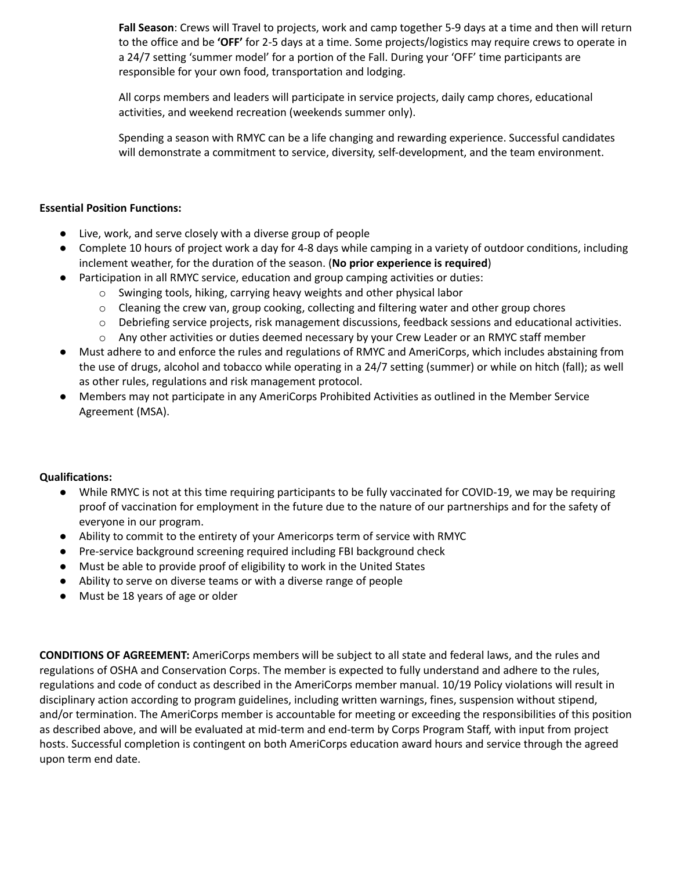**Fall Season**: Crews will Travel to projects, work and camp together 5-9 days at a time and then will return to the office and be **'OFF'** for 2-5 days at a time. Some projects/logistics may require crews to operate in a 24/7 setting 'summer model' for a portion of the Fall. During your 'OFF' time participants are responsible for your own food, transportation and lodging.

All corps members and leaders will participate in service projects, daily camp chores, educational activities, and weekend recreation (weekends summer only).

Spending a season with RMYC can be a life changing and rewarding experience. Successful candidates will demonstrate a commitment to service, diversity, self-development, and the team environment.

## **Essential Position Functions:**

- Live, work, and serve closely with a diverse group of people
- Complete 10 hours of project work a day for 4-8 days while camping in a variety of outdoor conditions, including inclement weather, for the duration of the season. (**No prior experience is required**)
- Participation in all RMYC service, education and group camping activities or duties:
	- o Swinging tools, hiking, carrying heavy weights and other physical labor
	- $\circ$  Cleaning the crew van, group cooking, collecting and filtering water and other group chores
	- o Debriefing service projects, risk management discussions, feedback sessions and educational activities.
	- o Any other activities or duties deemed necessary by your Crew Leader or an RMYC staff member
- Must adhere to and enforce the rules and regulations of RMYC and AmeriCorps, which includes abstaining from the use of drugs, alcohol and tobacco while operating in a 24/7 setting (summer) or while on hitch (fall); as well as other rules, regulations and risk management protocol.
- Members may not participate in any AmeriCorps Prohibited Activities as outlined in the Member Service Agreement (MSA).

## **Qualifications:**

- While RMYC is not at this time requiring participants to be fully vaccinated for COVID-19, we may be requiring proof of vaccination for employment in the future due to the nature of our partnerships and for the safety of everyone in our program.
- Ability to commit to the entirety of your Americorps term of service with RMYC
- Pre-service background screening required including FBI background check
- Must be able to provide proof of eligibility to work in the United States
- Ability to serve on diverse teams or with a diverse range of people
- Must be 18 years of age or older

**CONDITIONS OF AGREEMENT:** AmeriCorps members will be subject to all state and federal laws, and the rules and regulations of OSHA and Conservation Corps. The member is expected to fully understand and adhere to the rules, regulations and code of conduct as described in the AmeriCorps member manual. 10/19 Policy violations will result in disciplinary action according to program guidelines, including written warnings, fines, suspension without stipend, and/or termination. The AmeriCorps member is accountable for meeting or exceeding the responsibilities of this position as described above, and will be evaluated at mid-term and end-term by Corps Program Staff, with input from project hosts. Successful completion is contingent on both AmeriCorps education award hours and service through the agreed upon term end date.